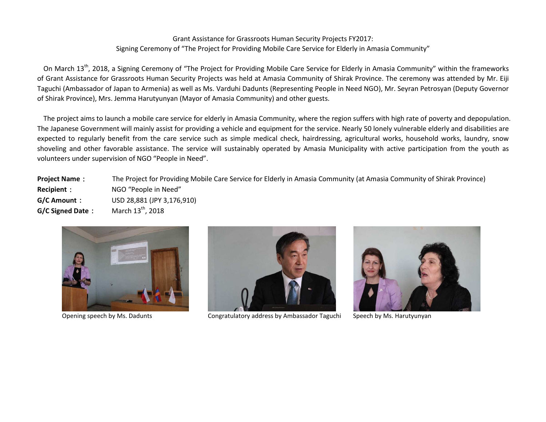## Grant Assistance for Grassroots Human Security Projects FY2017: Signing Ceremony of "The Project for Providing Mobile Care Service for Elderly in Amasia Community"

On March 13<sup>th</sup>, 2018, a Signing Ceremony of "The Project for Providing Mobile Care Service for Elderly in Amasia Community" within the frameworks of Grant Assistance for Grassroots Human Security Projects was held at Amasia Community of Shirak Province. The ceremony was attended by Mr. Eiji Taguchi (Ambassador of Japan to Armenia) as well as Ms. Varduhi Dadunts (Representing People in Need NGO), Mr. Seyran Petrosyan (Deputy Governor of Shirak Province), Mrs. Jemma Harutyunyan (Mayor of Amasia Community) and other guests.

The project aims to launch a mobile care service for elderly in Amasia Community, where the region suffers with high rate of poverty and depopulation. The Japanese Government will mainly assist for providing a vehicle and equipment for the service. Nearly 50 lonely vulnerable elderly and disabilities are expected to regularly benefit from the care service such as simple medical check, hairdressing, agricultural works, household works, laundry, snow shoveling and other favorable assistance. The service will sustainably operated by Amasia Municipality with active participation from the youth as volunteers under supervision of NGO "People in Need".

**Project Name**: The Project for Providing Mobile Care Service for Elderly in Amasia Community (at Amasia Community of Shirak Province) **Recipient**: NGO "People in Need" **G/C Amount**: USD 28,881 (JPY 3,176,910) **G/C** Signed Date: <sup>th</sup>, 2018





Opening speech by Ms. Dadunts Congratulatory address by Ambassador Taguchi Speech by Ms. Harutyunyan